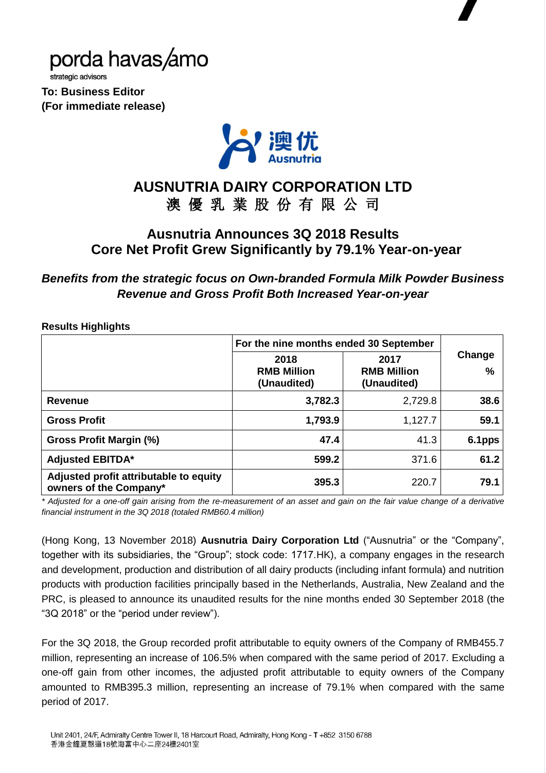

strategic advisors **To: Business Editor (For immediate release)**

**Results Highlights**



# **AUSNUTRIA DAIRY CORPORATION LTD** 澳 優 乳 業 股 份 有 限 公 司

## **Ausnutria Announces 3Q 2018 Results Core Net Profit Grew Significantly by 79.1% Year-on-year**

## *Benefits from the strategic focus on Own-branded Formula Milk Powder Business Revenue and Gross Profit Both Increased Year-on-year*

|                                                                  | For the nine months ended 30 September    |                                           |                         |
|------------------------------------------------------------------|-------------------------------------------|-------------------------------------------|-------------------------|
|                                                                  | 2018<br><b>RMB Million</b><br>(Unaudited) | 2017<br><b>RMB Million</b><br>(Unaudited) | Change<br>$\frac{9}{6}$ |
| <b>Revenue</b>                                                   | 3,782.3                                   | 2,729.8                                   | 38.6                    |
| <b>Gross Profit</b>                                              | 1,793.9                                   | 1,127.7                                   | 59.1                    |
| Gross Profit Margin (%)                                          | 47.4                                      | 41.3                                      | 6.1pps                  |
| <b>Adjusted EBITDA*</b>                                          | 599.2                                     | 371.6                                     | 61.2                    |
| Adjusted profit attributable to equity<br>owners of the Company* | 395.3                                     | 220.7                                     | 79.1                    |

*\* Adjusted for a one-off gain arising from the re-measurement of an asset and gain on the fair value change of a derivative financial instrument in the 3Q 2018 (totaled RMB60.4 million)*

(Hong Kong, 13 November 2018) **Ausnutria Dairy Corporation Ltd** ("Ausnutria" or the "Company", together with its subsidiaries, the "Group"; stock code: 1717.HK), a company engages in the research and development, production and distribution of all dairy products (including infant formula) and nutrition products with production facilities principally based in the Netherlands, Australia, New Zealand and the PRC, is pleased to announce its unaudited results for the nine months ended 30 September 2018 (the "3Q 2018" or the "period under review").

For the 3Q 2018, the Group recorded profit attributable to equity owners of the Company of RMB455.7 million, representing an increase of 106.5% when compared with the same period of 2017. Excluding a one-off gain from other incomes, the adjusted profit attributable to equity owners of the Company amounted to RMB395.3 million, representing an increase of 79.1% when compared with the same period of 2017.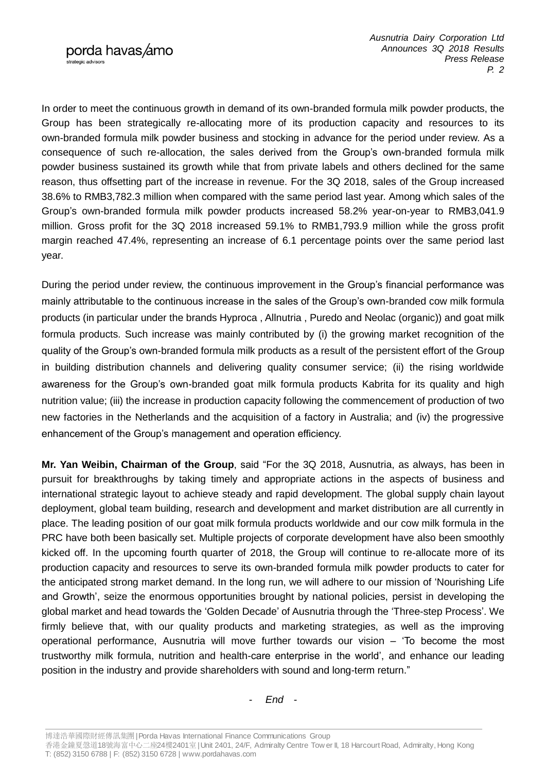In order to meet the continuous growth in demand of its own-branded formula milk powder products, the Group has been strategically re-allocating more of its production capacity and resources to its own-branded formula milk powder business and stocking in advance for the period under review. As a consequence of such re-allocation, the sales derived from the Group's own-branded formula milk powder business sustained its growth while that from private labels and others declined for the same reason, thus offsetting part of the increase in revenue. For the 3Q 2018, sales of the Group increased 38.6% to RMB3,782.3 million when compared with the same period last year. Among which sales of the Group's own-branded formula milk powder products increased 58.2% year-on-year to RMB3,041.9 million. Gross profit for the 3Q 2018 increased 59.1% to RMB1,793.9 million while the gross profit margin reached 47.4%, representing an increase of 6.1 percentage points over the same period last year.

During the period under review, the continuous improvement in the Group's financial performance was mainly attributable to the continuous increase in the sales of the Group's own-branded cow milk formula products (in particular under the brands Hyproca , Allnutria , Puredo and Neolac (organic)) and goat milk formula products. Such increase was mainly contributed by (i) the growing market recognition of the quality of the Group's own-branded formula milk products as a result of the persistent effort of the Group in building distribution channels and delivering quality consumer service; (ii) the rising worldwide awareness for the Group's own-branded goat milk formula products Kabrita for its quality and high nutrition value; (iii) the increase in production capacity following the commencement of production of two new factories in the Netherlands and the acquisition of a factory in Australia; and (iv) the progressive enhancement of the Group's management and operation efficiency.

**Mr. Yan Weibin, Chairman of the Group**, said "For the 3Q 2018, Ausnutria, as always, has been in pursuit for breakthroughs by taking timely and appropriate actions in the aspects of business and international strategic layout to achieve steady and rapid development. The global supply chain layout deployment, global team building, research and development and market distribution are all currently in place. The leading position of our goat milk formula products worldwide and our cow milk formula in the PRC have both been basically set. Multiple projects of corporate development have also been smoothly kicked off. In the upcoming fourth quarter of 2018, the Group will continue to re-allocate more of its production capacity and resources to serve its own-branded formula milk powder products to cater for the anticipated strong market demand. In the long run, we will adhere to our mission of 'Nourishing Life and Growth', seize the enormous opportunities brought by national policies, persist in developing the global market and head towards the 'Golden Decade' of Ausnutria through the 'Three-step Process'. We firmly believe that, with our quality products and marketing strategies, as well as the improving operational performance, Ausnutria will move further towards our vision – 'To become the most trustworthy milk formula, nutrition and health-care enterprise in the world', and enhance our leading position in the industry and provide shareholders with sound and long-term return."

香港金鐘夏愨道18號海富中心二座24樓2401室| Unit 2401, 24/F, Admiralty Centre Tow er II, 18 Harcourt Road, Admiralty, Hong Kong T: (852) 3150 6788 | F: (852) 3150 6728 | www.pordahavas.com